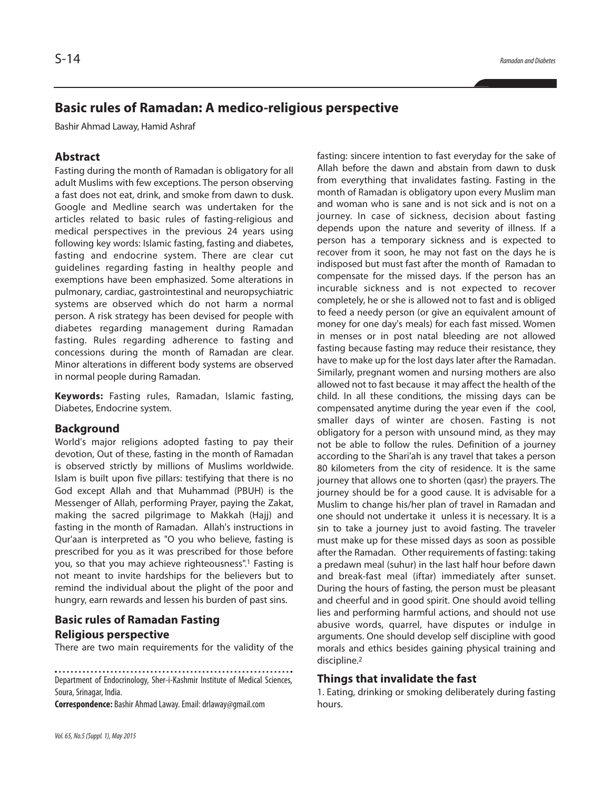# **Basic rules of Ramadan: A medico-religious perspective**

Bashir Ahmad Laway, Hamid Ashraf

# **Abstract**

Fasting during the month of Ramadan is obligatory for all adult Muslims with few exceptions. The person observing a fast does not eat, drink, and smoke from dawn to dusk. Google and Medline search was undertaken for the articles related to basic rules of fasting-religious and medical perspectives in the previous 24 years using following key words: Islamic fasting, fasting and diabetes, fasting and endocrine system. There are clear cut guidelines regarding fasting in healthy people and exemptions have been emphasized. Some alterations in pulmonary, cardiac, gastrointestinal and neuropsychiatric systems are observed which do not harm a normal person. A risk strategy has been devised for people with diabetes regarding management during Ramadan fasting. Rules regarding adherence to fasting and concessions during the month of Ramadan are clear. Minor alterations in different body systems are observed in normal people during Ramadan.

**Keywords:** Fasting rules, Ramadan, Islamic fasting, Diabetes, Endocrine system.

#### **Background**

World's major religions adopted fasting to pay their devotion, Out of these, fasting in the month of Ramadan is observed strictly by millions of Muslims worldwide. Islam is built upon five pillars: testifying that there is no God except Allah and that Muhammad (PBUH) is the Messenger of Allah, performing Prayer, paying the Zakat, making the sacred pilgrimage to Makkah (Hajj) and fasting in the month of Ramadan. Allah's instructions in Qur'aan is interpreted as "O you who believe, fasting is prescribed for you as it was prescribed for those before you, so that you may achieve righteousness". <sup>1</sup> Fasting is not meant to invite hardships for the believers but to remind the individual about the plight of the poor and hungry, earn rewards and lessen his burden of past sins.

# **Basic rules of Ramadan Fasting Religious perspective**

There are two main requirements for the validity of the

**Correspondence:** Bashir AhmadLaway.Email:drlaway@gmail.com

fasting: sincere intention to fast everyday for the sake of Allah before the dawn and abstain from dawn to dusk from everything that invalidates fasting. Fasting in the month of Ramadan is obligatory upon every Muslim man and woman who is sane and is not sick and is not on a journey. In case of sickness, decision about fasting depends upon the nature and severity of illness. If a person has a temporary sickness and is expected to recover from it soon, he may not fast on the days he is indisposed but must fast after the month of Ramadan to compensate for the missed days. If the person has an incurable sickness and is not expected to recover completely, he or she is allowed not to fast and is obliged to feed a needy person (or give an equivalent amount of money for one day's meals) for each fast missed. Women in menses or in post natal bleeding are not allowed fasting because fasting may reduce their resistance, they have to make up for the lost days later after the Ramadan. Similarly, pregnant women and nursing mothers are also allowed not to fast because it may affect the health of the child. In all these conditions, the missing days can be compensated anytime during the year even if the cool, smaller days of winter are chosen. Fasting is not obligatory for a person with unsound mind, as they may not be able to follow the rules. Definition of a journey according to the Shari'ah is any travel that takes a person 80 kilometers from the city of residence. It is the same journey that allows one to shorten (qasr) the prayers. The journey should be for a good cause. It is advisable for a Muslim to change his/her plan of travel in Ramadan and one should not undertake it unless it is necessary. It is a sin to take a journey just to avoid fasting. The traveler must make up for these missed days as soon as possible after the Ramadan. Other requirements of fasting: taking a predawn meal (suhur) in the last half hour before dawn and break-fast meal (iftar) immediately after sunset. During the hours of fasting, the person must be pleasant and cheerful and in good spirit. One should avoid telling lies and performing harmful actions, and should not use abusive words, quarrel, have disputes or indulge in arguments. One should develop self discipline with good morals and ethics besides gaining physical training and discipline. 2

#### **Things that invalidate the fast**

1. Eating, drinking or smoking deliberately during fasting hours.

Department of Endocrinology, Sher-i-Kashmir Institute of Medical Sciences, Soura, Srinagar, India.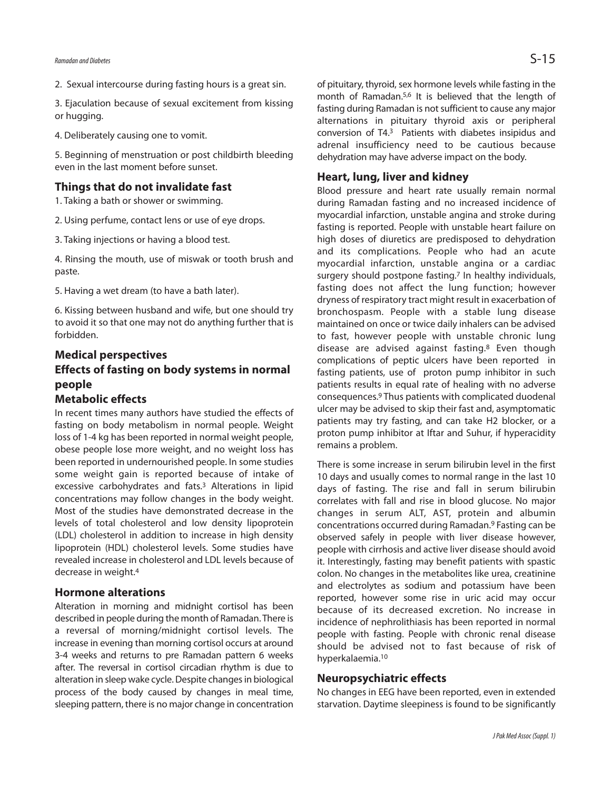3. Ejaculation because of sexual excitement from kissing or hugging.

4. Deliberately causing one to vomit.

5. Beginning of menstruation or post childbirth bleeding even in the last moment before sunset.

## **Things that do not invalidate fast**

1. Taking a bath or shower or swimming.

2. Using perfume, contact lens or use of eye drops.

3. Taking injections or having a blood test.

4. Rinsing the mouth, use of miswak or tooth brush and paste.

5. Having a wet dream (to have a bath later).

6. Kissing between husband and wife, but one should try to avoid it so that one may not do anything further that is forbidden.

## **Medical perspectives**

# **Effects of fasting on body systems in normal people**

### **Metabolic effects**

In recent times many authors have studied the effects of fasting on body metabolism in normal people. Weight loss of 1-4 kg has been reported in normal weight people, obese people lose more weight, and no weight loss has been reported in undernourished people. In some studies some weight gain is reported because of intake of excessive carbohydrates and fats. <sup>3</sup> Alterations in lipid concentrations may follow changes in the body weight. Most of the studies have demonstrated decrease in the levels of total cholesterol and low density lipoprotein (LDL) cholesterol in addition to increase in high density lipoprotein (HDL) cholesterol levels. Some studies have revealed increase in cholesterol and LDL levels because of decrease in weight. 4

## **Hormone alterations**

Alteration in morning and midnight cortisol has been described in people during the month of Ramadan. There is a reversal of morning/midnight cortisol levels. The increase in evening than morning cortisol occurs at around 3-4 weeks and returns to pre Ramadan pattern 6 weeks after. The reversal in cortisol circadian rhythm is due to alteration in sleep wake cycle. Despite changes in biological process of the body caused by changes in meal time, sleeping pattern, there is no major change in concentration

of pituitary, thyroid, sex hormone levels while fasting in the month of Ramadan. 5,6 It is believed that the length of fasting during Ramadan is not sufficient to cause any major alternations in pituitary thyroid axis or peripheral conversion of T4. <sup>3</sup> Patients with diabetes insipidus and adrenal insufficiency need to be cautious because dehydration may have adverse impact on the body.

## **Heart, lung, liver and kidney**

Blood pressure and heart rate usually remain normal during Ramadan fasting and no increased incidence of myocardial infarction, unstable angina and stroke during fasting is reported. People with unstable heart failure on high doses of diuretics are predisposed to dehydration and its complications. People who had an acute myocardial infarction, unstable angina or a cardiac surgery should postpone fasting. <sup>7</sup> In healthy individuals, fasting does not affect the lung function; however dryness of respiratory tract might result in exacerbation of bronchospasm. People with a stable lung disease maintained on once or twice daily inhalers can be advised to fast, however people with unstable chronic lung disease are advised against fasting. <sup>8</sup> Even though complications of peptic ulcers have been reported in fasting patients, use of proton pump inhibitor in such patients results in equal rate of healing with no adverse consequences. <sup>9</sup> Thus patients with complicated duodenal ulcer may be advised to skip their fast and, asymptomatic patients may try fasting, and can take H2 blocker, or a proton pump inhibitor at Iftar and Suhur, if hyperacidity remains a problem.

There is some increase in serum bilirubin level in the first 10 days and usually comes to normal range in the last 10 days of fasting. The rise and fall in serum bilirubin correlates with fall and rise in blood glucose. No major changes in serum ALT, AST, protein and albumin concentrations occurred during Ramadan. <sup>9</sup> Fasting can be observed safely in people with liver disease however, people with cirrhosis and active liver disease should avoid it. Interestingly, fasting may benefit patients with spastic colon. No changes in the metabolites like urea, creatinine and electrolytes as sodium and potassium have been reported, however some rise in uric acid may occur because of its decreased excretion. No increase in incidence of nephrolithiasis has been reported in normal people with fasting. People with chronic renal disease should be advised not to fast because of risk of hyperkalaemia. 10

#### **Neuropsychiatric effects**

No changes in EEG have been reported, even in extended starvation. Daytime sleepiness is found to be significantly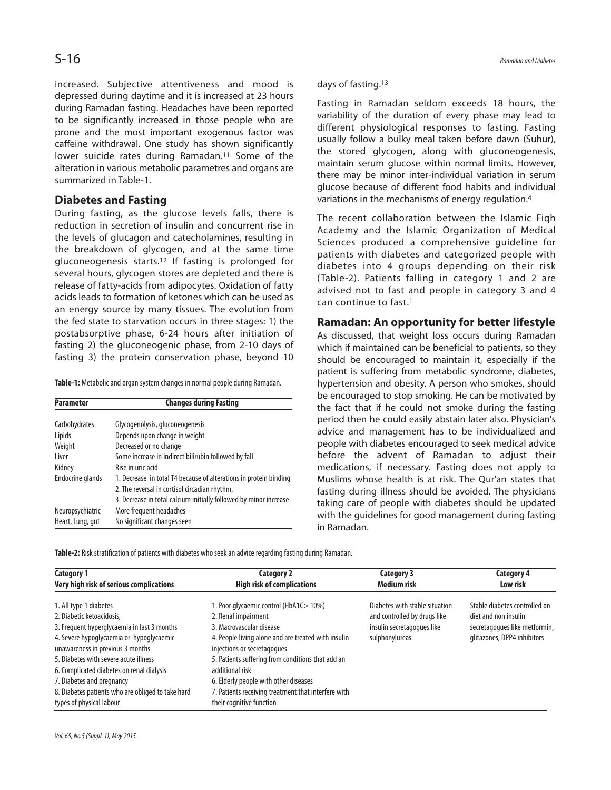increased. Subjective attentiveness and mood is depressed during daytime and it is increased at 23 hours during Ramadan fasting. Headaches have been reported to be significantly increased in those people who are prone and the most important exogenous factor was caffeine withdrawal. One study has shown significantly lower suicide rates during Ramadan.<sup>11</sup> Some of the alteration in various metabolic parametres and organs are summarized in Table-1.

# **Diabetes and Fasting**

During fasting, as the glucose levels falls, there is reduction in secretion of insulin and concurrent rise in the levels of glucagon and catecholamines, resulting in the breakdown of glycogen, and at the same time gluconeogenesis starts. <sup>12</sup> If fasting is prolonged for several hours, glycogen stores are depleted and there is release of fatty-acids from adipocytes. Oxidation of fatty acids leads to formation of ketones which can be used as an energy source by many tissues. The evolution from the fed state to starvation occurs in three stages: 1) the postabsorptive phase, 6-24 hours after initiation of fasting 2) the gluconeogenic phase, from 2-10 days of fasting 3) the protein conservation phase, beyond 10

**Table-1:** Metabolic and organ system changes in normal people during Ramadan.

| <b>Parameter</b> | <b>Changes during Fasting</b>                                     |  |  |
|------------------|-------------------------------------------------------------------|--|--|
|                  |                                                                   |  |  |
| Carbohydrates    | Glycogenolysis, gluconeogenesis                                   |  |  |
| Lipids           | Depends upon change in weight                                     |  |  |
| Weight           | Decreased or no change                                            |  |  |
| Liver            | Some increase in indirect bilirubin followed by fall              |  |  |
| Kidney           | Rise in uric acid                                                 |  |  |
| Endocrine glands | 1. Decrease in total T4 because of alterations in protein binding |  |  |
|                  | 2. The reversal in cortisol circadian rhythm,                     |  |  |
|                  | 3. Decrease in total calcium initially followed by minor increase |  |  |
| Neuropsychiatric | More frequent headaches                                           |  |  |
| Heart, Lung, gut | No significant changes seen                                       |  |  |

days of fasting. 13

Fasting in Ramadan seldom exceeds 18 hours, the variability of the duration of every phase may lead to different physiological responses to fasting. Fasting usually follow a bulky meal taken before dawn (Suhur), the stored glycogen, along with gluconeogenesis, maintain serum glucose within normal limits. However, there may be minor inter-individual variation in serum glucose because of different food habits and individual variations in the mechanisms of energy regulation. 4

The recent collaboration between the Islamic Fiqh Academy and the Islamic Organization of Medical Sciences produced a comprehensive guideline for patients with diabetes and categorized people with diabetes into 4 groups depending on their risk (Table-2). Patients falling in category 1 and 2 are advised not to fast and people in category 3 and 4 can continue to fast.1

### **Ramadan: An opportunity for better lifestyle**

As discussed, that weight loss occurs during Ramadan which if maintained can be beneficial to patients, so they should be encouraged to maintain it, especially if the patient is suffering from metabolic syndrome, diabetes, hypertension and obesity. A person who smokes, should be encouraged to stop smoking. He can be motivated by the fact that if he could not smoke during the fasting period then he could easily abstain later also. Physician's advice and management has to be individualized and people with diabetes encouraged to seek medical advice before the advent of Ramadan to adjust their medications, if necessary. Fasting does not apply to Muslims whose health is at risk. The Qur'an states that fasting during illness should be avoided. The physicians taking care of people with diabetes should be updated with the guidelines for good management during fasting in Ramadan.

Table-2: Risk stratification of patients with diabetes who seek an advice regarding fasting during Ramadan.

| Category 1                                        | Category 2                                          | <b>Category 3</b>              | Category 4                    |
|---------------------------------------------------|-----------------------------------------------------|--------------------------------|-------------------------------|
| Very high risk of serious complications           | <b>High risk of complications</b>                   | <b>Medium risk</b>             | Low risk                      |
| 1. All type 1 diabetes                            | 1. Poor glycaemic control (HbA1C > 10%)             | Diabetes with stable situation | Stable diabetes controlled on |
| 2. Diabetic ketoacidosis,                         | 2. Renal impairment                                 | and controlled by drugs like   | diet and non insulin          |
| 3. Frequent hyperglycaemia in last 3 months       | 3. Macrovascular disease                            | insulin secretagogues like     | secretagogues like metformin, |
| 4. Severe hypoglycaemia or hypoglycaemic          | 4. People living alone and are treated with insulin | sulphonylureas                 | glitazones, DPP4 inhibitors   |
| unawareness in previous 3 months                  | injections or secretagogues                         |                                |                               |
| 5. Diabetes with severe acute illness             | 5. Patients suffering from conditions that add an   |                                |                               |
| 6. Complicated diabetes on renal dialysis         | additional risk                                     |                                |                               |
| 7. Diabetes and pregnancy                         | 6. Elderly people with other diseases               |                                |                               |
| 8. Diabetes patients who are obliged to take hard | 7. Patients receiving treatment that interfere with |                                |                               |
| types of physical labour                          | their cognitive function                            |                                |                               |